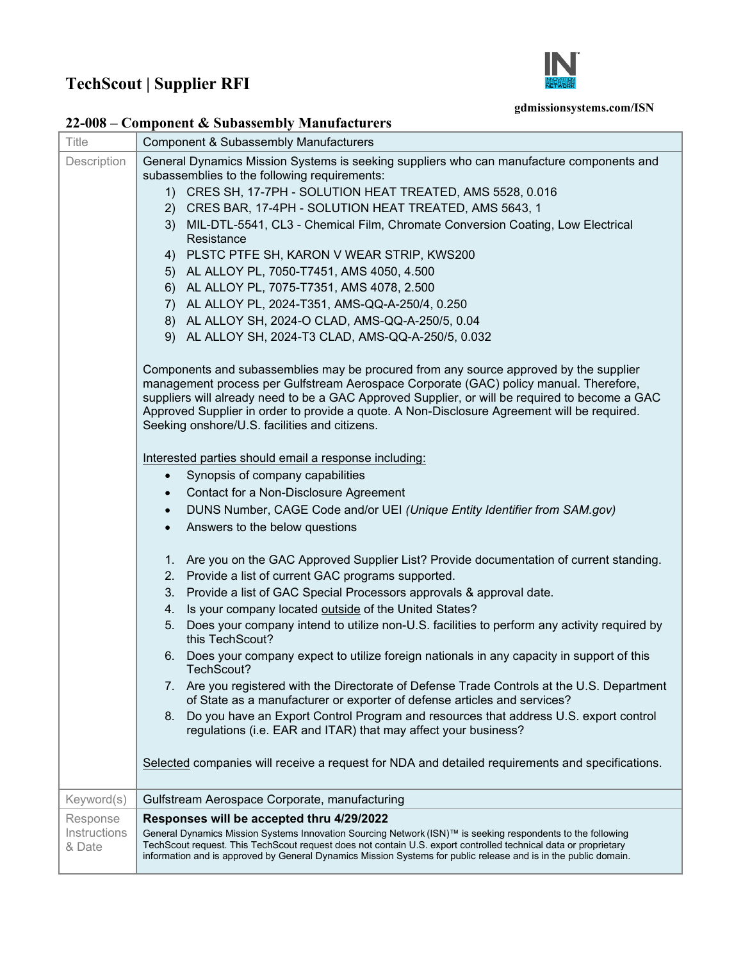## **TechScout | Supplier RFI**



## **gdmissionsystems.com/ISN**

|  |  | 22-008 – Component & Subassembly Manufacturers |  |
|--|--|------------------------------------------------|--|
|--|--|------------------------------------------------|--|

| Title        | <b>Component &amp; Subassembly Manufacturers</b>                                                                                                                                                                                                                                                                                                                                                                                 |  |
|--------------|----------------------------------------------------------------------------------------------------------------------------------------------------------------------------------------------------------------------------------------------------------------------------------------------------------------------------------------------------------------------------------------------------------------------------------|--|
| Description  | General Dynamics Mission Systems is seeking suppliers who can manufacture components and                                                                                                                                                                                                                                                                                                                                         |  |
|              | subassemblies to the following requirements:                                                                                                                                                                                                                                                                                                                                                                                     |  |
|              | 1) CRES SH, 17-7PH - SOLUTION HEAT TREATED, AMS 5528, 0.016                                                                                                                                                                                                                                                                                                                                                                      |  |
|              | 2) CRES BAR, 17-4PH - SOLUTION HEAT TREATED, AMS 5643, 1                                                                                                                                                                                                                                                                                                                                                                         |  |
|              | 3) MIL-DTL-5541, CL3 - Chemical Film, Chromate Conversion Coating, Low Electrical                                                                                                                                                                                                                                                                                                                                                |  |
|              | Resistance<br>4) PLSTC PTFE SH, KARON V WEAR STRIP, KWS200                                                                                                                                                                                                                                                                                                                                                                       |  |
|              |                                                                                                                                                                                                                                                                                                                                                                                                                                  |  |
|              | 5) AL ALLOY PL, 7050-T7451, AMS 4050, 4.500<br>6) AL ALLOY PL, 7075-T7351, AMS 4078, 2.500                                                                                                                                                                                                                                                                                                                                       |  |
|              | 7) AL ALLOY PL, 2024-T351, AMS-QQ-A-250/4, 0.250                                                                                                                                                                                                                                                                                                                                                                                 |  |
|              | 8) AL ALLOY SH, 2024-O CLAD, AMS-QQ-A-250/5, 0.04                                                                                                                                                                                                                                                                                                                                                                                |  |
|              | 9) AL ALLOY SH, 2024-T3 CLAD, AMS-QQ-A-250/5, 0.032                                                                                                                                                                                                                                                                                                                                                                              |  |
|              |                                                                                                                                                                                                                                                                                                                                                                                                                                  |  |
|              | Components and subassemblies may be procured from any source approved by the supplier<br>management process per Gulfstream Aerospace Corporate (GAC) policy manual. Therefore,<br>suppliers will already need to be a GAC Approved Supplier, or will be required to become a GAC<br>Approved Supplier in order to provide a quote. A Non-Disclosure Agreement will be required.<br>Seeking onshore/U.S. facilities and citizens. |  |
|              | Interested parties should email a response including:                                                                                                                                                                                                                                                                                                                                                                            |  |
|              | Synopsis of company capabilities                                                                                                                                                                                                                                                                                                                                                                                                 |  |
|              | Contact for a Non-Disclosure Agreement<br>$\bullet$                                                                                                                                                                                                                                                                                                                                                                              |  |
|              | DUNS Number, CAGE Code and/or UEI (Unique Entity Identifier from SAM.gov)<br>$\bullet$                                                                                                                                                                                                                                                                                                                                           |  |
|              | Answers to the below questions<br>$\bullet$                                                                                                                                                                                                                                                                                                                                                                                      |  |
|              |                                                                                                                                                                                                                                                                                                                                                                                                                                  |  |
|              | 1. Are you on the GAC Approved Supplier List? Provide documentation of current standing.                                                                                                                                                                                                                                                                                                                                         |  |
|              | 2. Provide a list of current GAC programs supported.                                                                                                                                                                                                                                                                                                                                                                             |  |
|              | 3. Provide a list of GAC Special Processors approvals & approval date.                                                                                                                                                                                                                                                                                                                                                           |  |
|              | Is your company located outside of the United States?<br>4.                                                                                                                                                                                                                                                                                                                                                                      |  |
|              | 5. Does your company intend to utilize non-U.S. facilities to perform any activity required by<br>this TechScout?                                                                                                                                                                                                                                                                                                                |  |
|              | 6. Does your company expect to utilize foreign nationals in any capacity in support of this<br>TechScout?                                                                                                                                                                                                                                                                                                                        |  |
|              | 7. Are you registered with the Directorate of Defense Trade Controls at the U.S. Department<br>of State as a manufacturer or exporter of defense articles and services?                                                                                                                                                                                                                                                          |  |
|              | Do you have an Export Control Program and resources that address U.S. export control<br>8.<br>regulations (i.e. EAR and ITAR) that may affect your business?                                                                                                                                                                                                                                                                     |  |
|              | Selected companies will receive a request for NDA and detailed requirements and specifications.                                                                                                                                                                                                                                                                                                                                  |  |
| Keyword(s)   | Gulfstream Aerospace Corporate, manufacturing                                                                                                                                                                                                                                                                                                                                                                                    |  |
| Response     | Responses will be accepted thru 4/29/2022                                                                                                                                                                                                                                                                                                                                                                                        |  |
| Instructions | General Dynamics Mission Systems Innovation Sourcing Network (ISN)™ is seeking respondents to the following<br>TechScout request. This TechScout request does not contain U.S. export controlled technical data or proprietary<br>information and is approved by General Dynamics Mission Systems for public release and is in the public domain.                                                                                |  |
| & Date       |                                                                                                                                                                                                                                                                                                                                                                                                                                  |  |